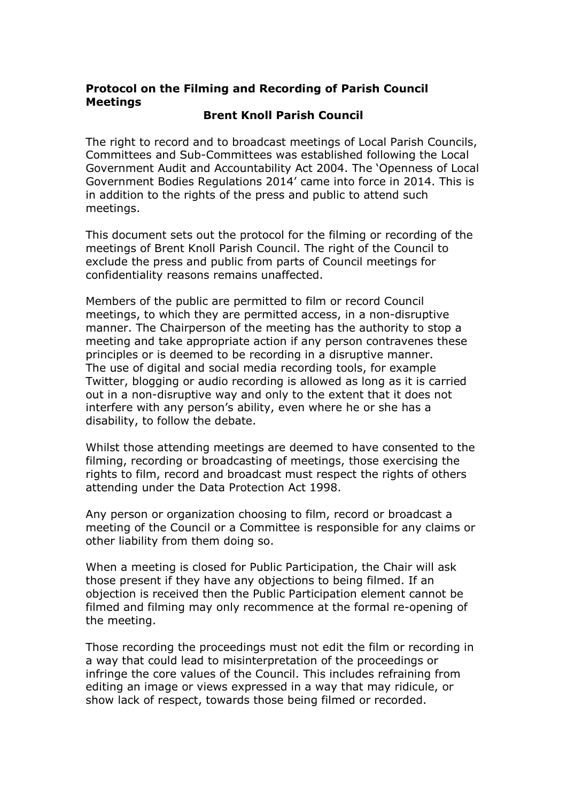## Protocol on the Filming and Recording of Parish Council **Meetings**

## Brent Knoll Parish Council

The right to record and to broadcast meetings of Local Parish Councils, Committees and Sub-Committees was established following the Local Government Audit and Accountability Act 2004. The 'Openness of Local Government Bodies Regulations 2014' came into force in 2014. This is in addition to the rights of the press and public to attend such meetings.

This document sets out the protocol for the filming or recording of the meetings of Brent Knoll Parish Council. The right of the Council to exclude the press and public from parts of Council meetings for confidentiality reasons remains unaffected.

Members of the public are permitted to film or record Council meetings, to which they are permitted access, in a non-disruptive manner. The Chairperson of the meeting has the authority to stop a meeting and take appropriate action if any person contravenes these principles or is deemed to be recording in a disruptive manner. The use of digital and social media recording tools, for example Twitter, blogging or audio recording is allowed as long as it is carried out in a non-disruptive way and only to the extent that it does not interfere with any person's ability, even where he or she has a disability, to follow the debate.

Whilst those attending meetings are deemed to have consented to the filming, recording or broadcasting of meetings, those exercising the rights to film, record and broadcast must respect the rights of others attending under the Data Protection Act 1998.

Any person or organization choosing to film, record or broadcast a meeting of the Council or a Committee is responsible for any claims or other liability from them doing so.

When a meeting is closed for Public Participation, the Chair will ask those present if they have any objections to being filmed. If an objection is received then the Public Participation element cannot be filmed and filming may only recommence at the formal re-opening of the meeting.

Those recording the proceedings must not edit the film or recording in a way that could lead to misinterpretation of the proceedings or infringe the core values of the Council. This includes refraining from editing an image or views expressed in a way that may ridicule, or show lack of respect, towards those being filmed or recorded.